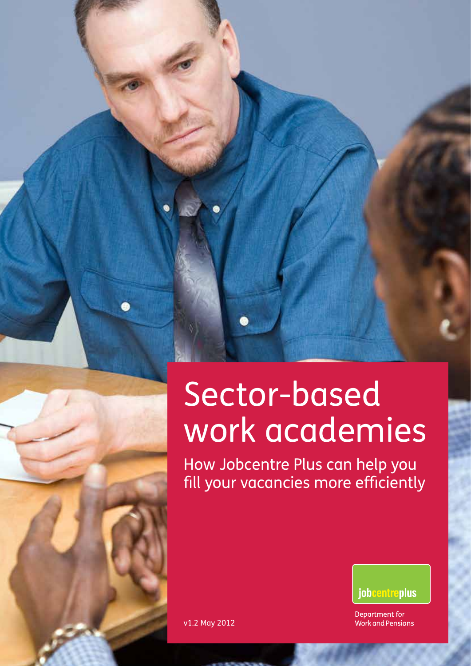## Sector-based work academies

How Jobcentre Plus can help you fill your vacancies more efficiently



Department for **Work and Pensions** 

v1.2 May 2012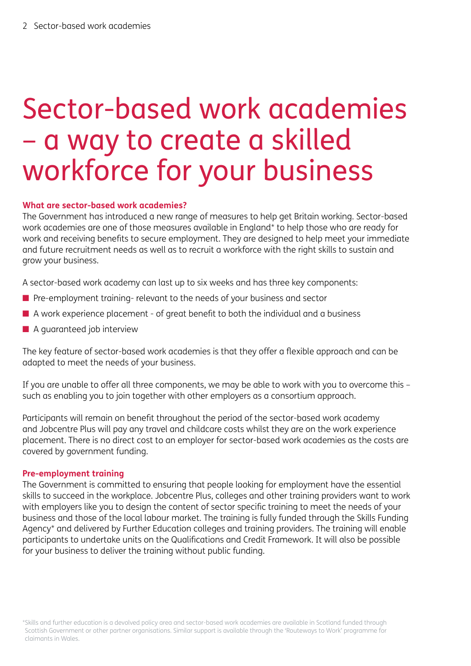### Sector-based work academies – a way to create a skilled workforce for your business

### **What are sector-based work academies?**

The Government has introduced a new range of measures to help get Britain working. Sector-based work academies are one of those measures available in England\* to help those who are ready for work and receiving benefits to secure employment. They are designed to help meet your immediate and future recruitment needs as well as to recruit a workforce with the right skills to sustain and grow your business.

A sector-based work academy can last up to six weeks and has three key components:

- $\blacksquare$  Pre-employment training- relevant to the needs of your business and sector
- $\blacksquare$  A work experience placement of great benefit to both the individual and a business
- $\blacksquare$  A guaranteed job interview

The key feature of sector-based work academies is that they offer a flexible approach and can be adapted to meet the needs of your business.

If you are unable to offer all three components, we may be able to work with you to overcome this – such as enabling you to join together with other employers as a consortium approach.

Participants will remain on benefit throughout the period of the sector-based work academy and Jobcentre Plus will pay any travel and childcare costs whilst they are on the work experience placement. There is no direct cost to an employer for sector-based work academies as the costs are covered by government funding.

#### **Pre-employment training**

The Government is committed to ensuring that people looking for employment have the essential skills to succeed in the workplace. Jobcentre Plus, colleges and other training providers want to work with employers like you to design the content of sector specific training to meet the needs of your business and those of the local labour market. The training is fully funded through the Skills Funding Agency\* and delivered by Further Education colleges and training providers. The training will enable participants to undertake units on the Qualifications and Credit Framework. It will also be possible for your business to deliver the training without public funding.

<sup>\*</sup>Skills and further education is a devolved policy area and sector-based work academies are available in Scotland funded through Scottish Government or other partner organisations. Similar support is available through the 'Routeways to Work' programme for claimants in Wales.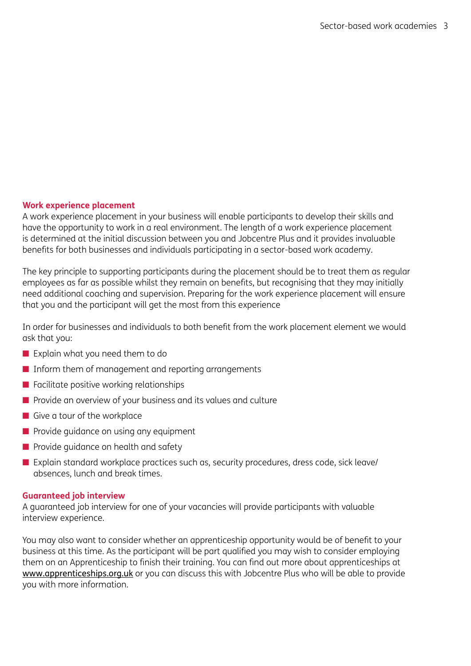### **Work experience placement**

A work experience placement in your business will enable participants to develop their skills and have the opportunity to work in a real environment. The length of a work experience placement is determined at the initial discussion between you and Jobcentre Plus and it provides invaluable benefits for both businesses and individuals participating in a sector-based work academy.

The key principle to supporting participants during the placement should be to treat them as regular employees as far as possible whilst they remain on benefits, but recognising that they may initially need additional coaching and supervision. Preparing for the work experience placement will ensure that you and the participant will get the most from this experience

In order for businesses and individuals to both benefit from the work placement element we would ask that you:

- $\blacksquare$  Explain what you need them to do
- $\blacksquare$  Inform them of management and reporting arrangements
- $\blacksquare$  Facilitate positive working relationships
- $\blacksquare$  Provide an overview of your business and its values and culture
- $\blacksquare$  Give a tour of the workplace
- $\blacksquare$  Provide guidance on using any equipment
- $\blacksquare$  Provide guidance on health and safety
- $\blacksquare$  Explain standard workplace practices such as, security procedures, dress code, sick leave/ absences, lunch and break times.

#### **Guaranteed job interview**

A guaranteed job interview for one of your vacancies will provide participants with valuable interview experience.

You may also want to consider whether an apprenticeship opportunity would be of benefit to your business at this time. As the participant will be part qualified you may wish to consider employing them on an Apprenticeship to finish their training. You can find out more about apprenticeships at [www.apprenticeships.org.uk](http://www.apprenticeships.org.uk) or you can discuss this with Jobcentre Plus who will be able to provide you with more information.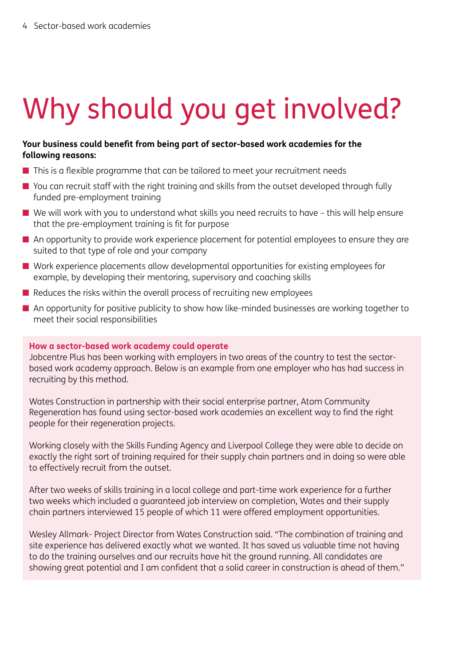# Why should you get involved?

### **Your business could benefit from being part of sector-based work academies for the following reasons:**

- $\blacksquare$  This is a flexible programme that can be tailored to meet your recruitment needs
- $\blacksquare$  You can recruit staff with the right training and skills from the outset developed through fully funded pre-employment training
- $\blacksquare$  We will work with you to understand what skills you need recruits to have this will help ensure that the pre-employment training is fit for purpose
- $\blacksquare$  An opportunity to provide work experience placement for potential employees to ensure they are suited to that type of role and your company
- $\blacksquare$  Work experience placements allow developmental opportunities for existing employees for example, by developing their mentoring, supervisory and coaching skills
- $\blacksquare$  Reduces the risks within the overall process of recruiting new employees
- An opportunity for positive publicity to show how like-minded businesses are working together to meet their social responsibilities

### **How a sector-based work academy could operate**

Jobcentre Plus has been working with employers in two areas of the country to test the sectorbased work academy approach. Below is an example from one employer who has had success in recruiting by this method.

Wates Construction in partnership with their social enterprise partner, Atom Community Regeneration has found using sector-based work academies an excellent way to find the right people for their regeneration projects.

Working closely with the Skills Funding Agency and Liverpool College they were able to decide on exactly the right sort of training required for their supply chain partners and in doing so were able to effectively recruit from the outset.

After two weeks of skills training in a local college and part-time work experience for a further two weeks which included a guaranteed job interview on completion, Wates and their supply chain partners interviewed 15 people of which 11 were offered employment opportunities.

Wesley Allmark- Project Director from Wates Construction said. "The combination of training and site experience has delivered exactly what we wanted. It has saved us valuable time not having to do the training ourselves and our recruits have hit the ground running. All candidates are showing great potential and I am confident that a solid career in construction is ahead of them."